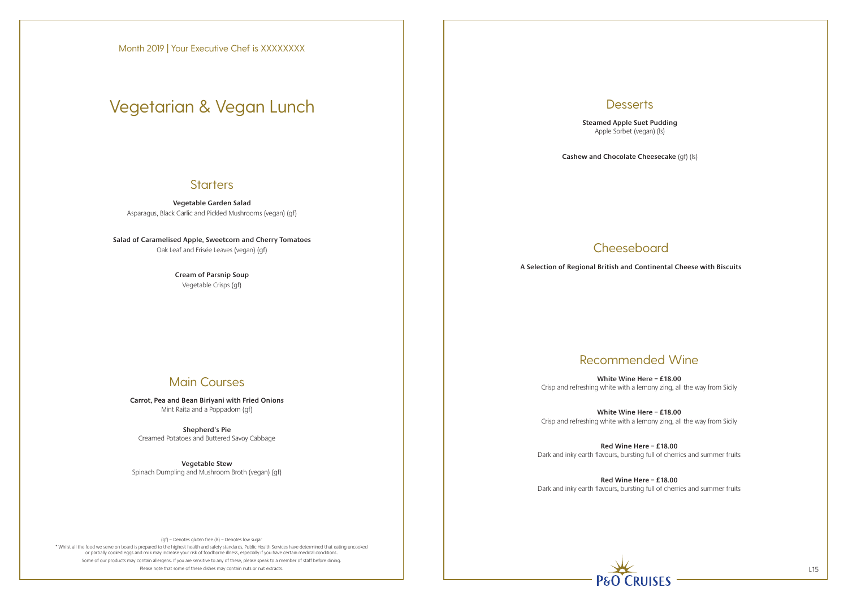\* Whilst all the food we serve on board is prepared to the highest health and safety standards, Public Health Services have determined that eating uncooked or partially cooked eggs and milk may increase your risk of foodborne illness, especially if you have certain medical conditions. Some of our products may contain allergens. If you are sensitive to any of these, please speak to a member of staff before dining. Please note that some of these dishes may contain nuts or nut extracts. L15

## **Desserts**

**Vegetable Garden Salad** Asparagus, Black Garlic and Pickled Mushrooms (vegan) (gf)

**Salad of Caramelised Apple, Sweetcorn and Cherry Tomatoes** Oak Leaf and Frisée Leaves (vegan) (gf)

> **Cream of Parsnip Soup** Vegetable Crisps (gf)

## Main Courses

**Carrot, Pea and Bean Biriyani with Fried Onions** Mint Raita and a Poppadom (gf)

**Shepherd's Pie** Creamed Potatoes and Buttered Savoy Cabbage

**Vegetable Stew** Spinach Dumpling and Mushroom Broth (vegan) (gf) **Steamed Apple Suet Pudding** Apple Sorbet (vegan) (ls)

**Cashew and Chocolate Cheesecake** (gf) (ls)

## **Cheeseboard**

**A Selection of Regional British and Continental Cheese with Biscuits**

Month 2019 | Your Executive Chef is XXXXXXXX

# Vegetarian & Vegan Lunch

### **Starters**

## Recommended Wine

**White Wine Here – £18.00** Crisp and refreshing white with a lemony zing, all the way from Sicily

**White Wine Here – £18.00** Crisp and refreshing white with a lemony zing, all the way from Sicily

**Red Wine Here – £18.00** Dark and inky earth flavours, bursting full of cherries and summer fruits

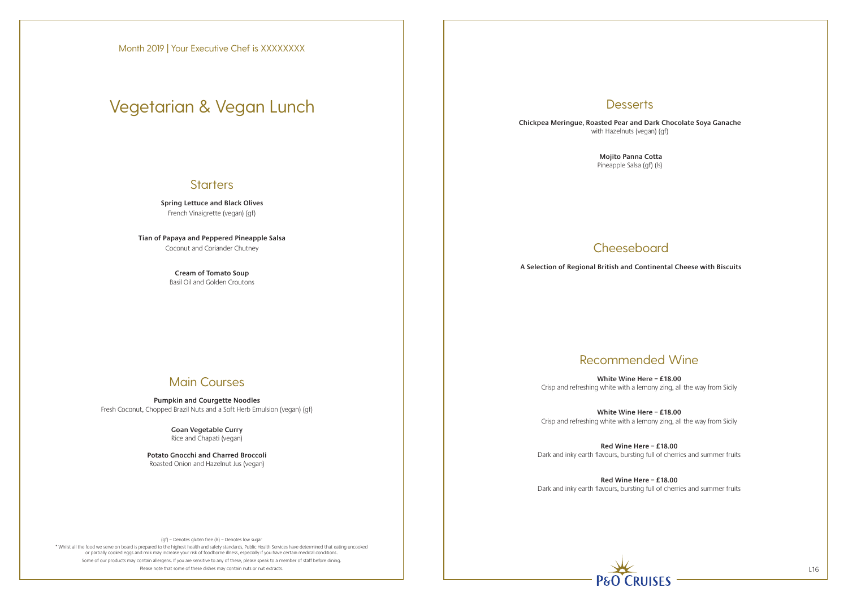\* Whilst all the food we serve on board is prepared to the highest health and safety standards, Public Health Services have determined that eating uncooked or partially cooked eggs and milk may increase your risk of foodborne illness, especially if you have certain medical conditions. Some of our products may contain allergens. If you are sensitive to any of these, please speak to a member of staff before dining. Please note that some of these dishes may contain nuts or nut extracts. L16

## **Desserts**

**Spring Lettuce and Black Olives** French Vinaigrette (vegan) (gf)

**Tian of Papaya and Peppered Pineapple Salsa** Coconut and Coriander Chutney

> **Cream of Tomato Soup** Basil Oil and Golden Croutons

## Main Courses

**Pumpkin and Courgette Noodles** Fresh Coconut, Chopped Brazil Nuts and a Soft Herb Emulsion (vegan) (gf)

> **Goan Vegetable Curry**  Rice and Chapati (vegan)

**Potato Gnocchi and Charred Broccoli** Roasted Onion and Hazelnut Jus (vegan)

**Chickpea Meringue, Roasted Pear and Dark Chocolate Soya Ganache** with Hazelnuts (vegan) (gf)

> **Mojito Panna Cotta**  Pineapple Salsa (gf) (ls)

## **Cheeseboard**

**A Selection of Regional British and Continental Cheese with Biscuits**

# Vegetarian & Vegan Lunch

## **Starters**

## Recommended Wine

**White Wine Here – £18.00** Crisp and refreshing white with a lemony zing, all the way from Sicily

**White Wine Here – £18.00** Crisp and refreshing white with a lemony zing, all the way from Sicily

**Red Wine Here – £18.00** Dark and inky earth flavours, bursting full of cherries and summer fruits

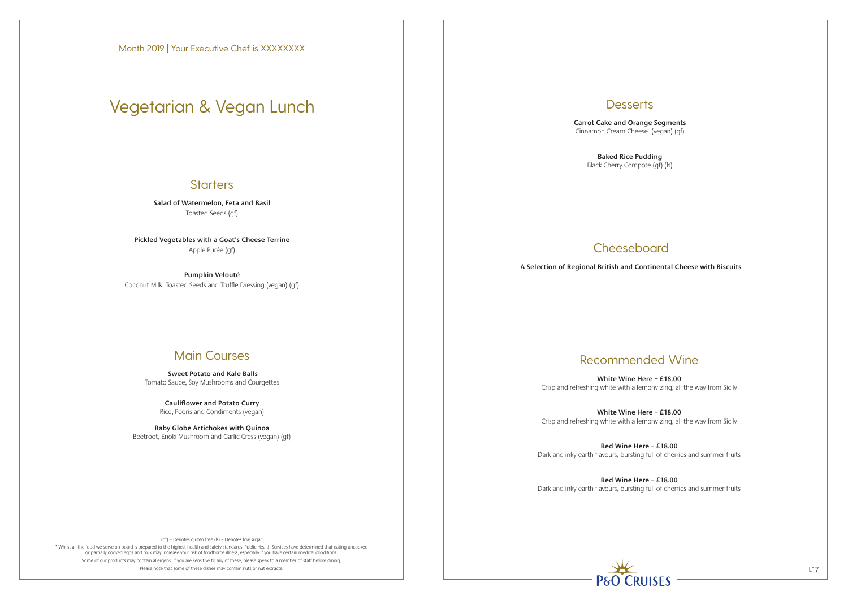\* Whilst all the food we serve on board is prepared to the highest health and safety standards, Public Health Services have determined that eating uncooked or partially cooked eggs and milk may increase your risk of foodborne illness, especially if you have certain medical conditions. Some of our products may contain allergens. If you are sensitive to any of these, please speak to a member of staff before dining. Please note that some of these dishes may contain nuts or nut extracts. L17



**Salad of Watermelon, Feta and Basil** Toasted Seeds (gf)

**Pickled Vegetables with a Goat's Cheese Terrine** Apple Purée (gf)

**Pumpkin Velouté** Coconut Milk, Toasted Seeds and Truffle Dressing (vegan) (gf)

## Main Courses

 **Sweet Potato and Kale Balls** Tomato Sauce, Soy Mushrooms and Courgettes

> **Cauliflower and Potato Curry**  Rice, Pooris and Condiments (vegan)

**Baby Globe Artichokes with Quinoa**  Beetroot, Enoki Mushroom and Garlic Cress (vegan) (gf) **Desserts** 

**Carrot Cake and Orange Segments** Cinnamon Cream Cheese (vegan) (gf)

> **Baked Rice Pudding** Black Cherry Compote (gf) (ls)

## **Cheeseboard**

**A Selection of Regional British and Continental Cheese with Biscuits**

# Vegetarian & Vegan Lunch

### **Starters**

## Recommended Wine

**White Wine Here – £18.00** Crisp and refreshing white with a lemony zing, all the way from Sicily

**White Wine Here – £18.00** Crisp and refreshing white with a lemony zing, all the way from Sicily

**Red Wine Here – £18.00** Dark and inky earth flavours, bursting full of cherries and summer fruits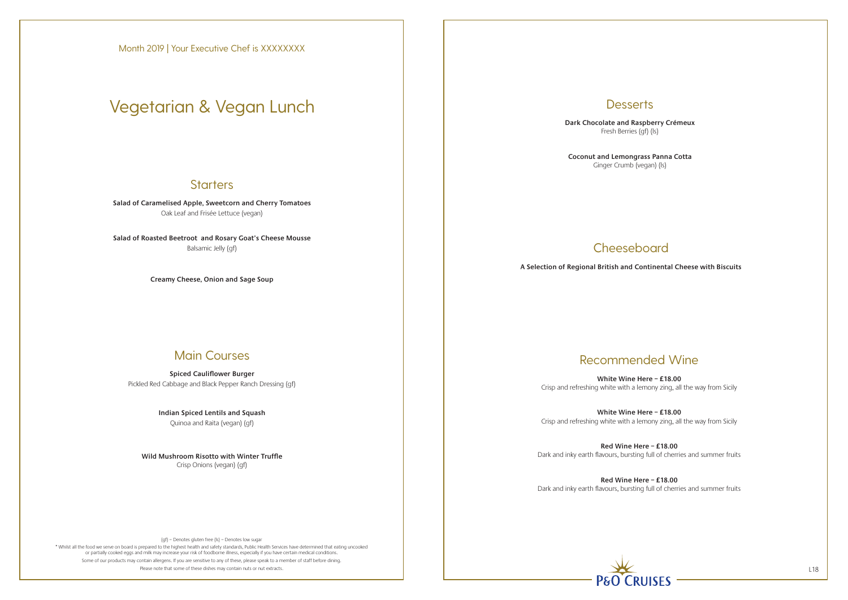\* Whilst all the food we serve on board is prepared to the highest health and safety standards, Public Health Services have determined that eating uncooked or partially cooked eggs and milk may increase your risk of foodborne illness, especially if you have certain medical conditions. Some of our products may contain allergens. If you are sensitive to any of these, please speak to a member of staff before dining. Please note that some of these dishes may contain nuts or nut extracts. L18

## **Desserts**

**Salad of Caramelised Apple, Sweetcorn and Cherry Tomatoes** Oak Leaf and Frisée Lettuce (vegan)

**Salad of Roasted Beetroot and Rosary Goat's Cheese Mousse** Balsamic Jelly (gf)

**Creamy Cheese, Onion and Sage Soup**

## Main Courses

**Spiced Cauliflower Burger** Pickled Red Cabbage and Black Pepper Ranch Dressing (gf)

> **Indian Spiced Lentils and Squash** Quinoa and Raita (vegan) (gf)

**Wild Mushroom Risotto with Winter Truffle** Crisp Onions (vegan) (gf)

**Dark Chocolate and Raspberry Crémeux** Fresh Berries (gf) (ls)

**Coconut and Lemongrass Panna Cotta** Ginger Crumb (vegan) (ls)

## **Cheeseboard**

**A Selection of Regional British and Continental Cheese with Biscuits**

Month 2019 | Your Executive Chef is XXXXXXXX

# Vegetarian & Vegan Lunch

### **Starters**

## Recommended Wine

**White Wine Here – £18.00** Crisp and refreshing white with a lemony zing, all the way from Sicily

**White Wine Here – £18.00** Crisp and refreshing white with a lemony zing, all the way from Sicily

**Red Wine Here – £18.00** Dark and inky earth flavours, bursting full of cherries and summer fruits

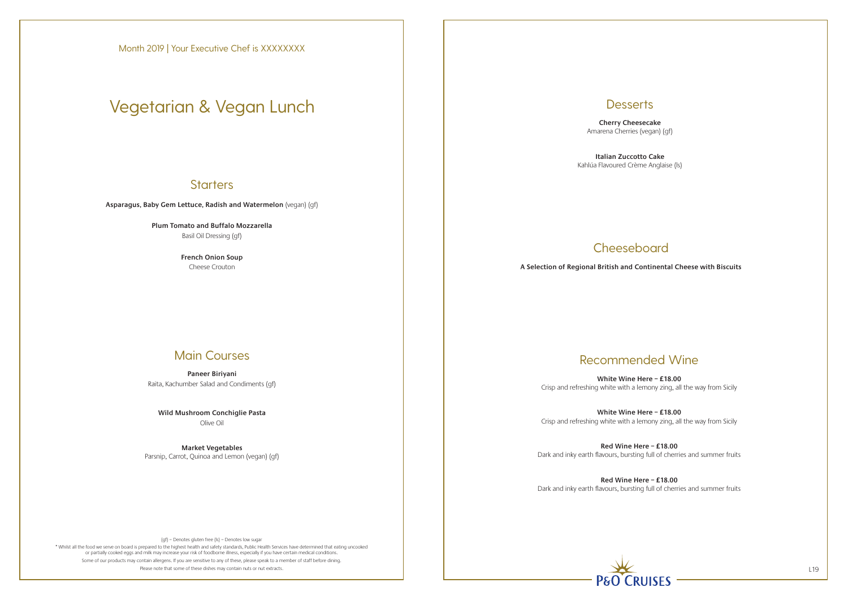\* Whilst all the food we serve on board is prepared to the highest health and safety standards, Public Health Services have determined that eating uncooked or partially cooked eggs and milk may increase your risk of foodborne illness, especially if you have certain medical conditions. Some of our products may contain allergens. If you are sensitive to any of these, please speak to a member of staff before dining. Please note that some of these dishes may contain nuts or nut extracts. L19

## **Desserts**

**Asparagus, Baby Gem Lettuce, Radish and Watermelon** (vegan) (gf)

**Plum Tomato and Buffalo Mozzarella** Basil Oil Dressing (gf)

> **French Onion Soup** Cheese Crouton

### Main Courses

**Paneer Biriyani** Raita, Kachumber Salad and Condiments (gf)

**Wild Mushroom Conchiglie Pasta** Olive Oil

**Market Vegetables** Parsnip, Carrot, Quinoa and Lemon (vegan) (gf)

**Cherry Cheesecake** Amarena Cherries (vegan) (gf)

**Italian Zuccotto Cake** Kahlúa Flavoured Crème Anglaise (ls)

## **Cheeseboard**

**A Selection of Regional British and Continental Cheese with Biscuits**

Month 2019 | Your Executive Chef is XXXXXXXX

# Vegetarian & Vegan Lunch

### **Starters**

## Recommended Wine

**White Wine Here – £18.00** Crisp and refreshing white with a lemony zing, all the way from Sicily

**White Wine Here – £18.00** Crisp and refreshing white with a lemony zing, all the way from Sicily

**Red Wine Here – £18.00** Dark and inky earth flavours, bursting full of cherries and summer fruits

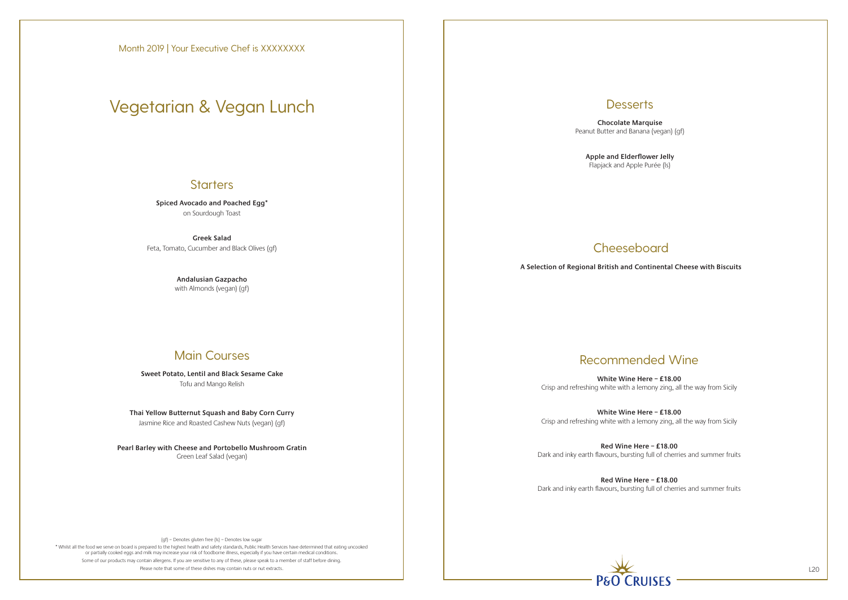\* Whilst all the food we serve on board is prepared to the highest health and safety standards, Public Health Services have determined that eating uncooked or partially cooked eggs and milk may increase your risk of foodborne illness, especially if you have certain medical conditions. Some of our products may contain allergens. If you are sensitive to any of these, please speak to a member of staff before dining. Please note that some of these dishes may contain nuts or nut extracts. L20

### **Desserts**

**Spiced Avocado and Poached Egg\*** on Sourdough Toast

**Greek Salad** Feta, Tomato, Cucumber and Black Olives (gf)

> **Andalusian Gazpacho** with Almonds (vegan) (gf)

## Main Courses

**Sweet Potato, Lentil and Black Sesame Cake** Tofu and Mango Relish

**Thai Yellow Butternut Squash and Baby Corn Curry** Jasmine Rice and Roasted Cashew Nuts (vegan) (gf)

**Pearl Barley with Cheese and Portobello Mushroom Gratin** Green Leaf Salad (vegan)

**Chocolate Marquise** Peanut Butter and Banana (vegan) (gf)

**Apple and Elderflower Jelly** Flapjack and Apple Purée (ls)

## **Cheeseboard**

**A Selection of Regional British and Continental Cheese with Biscuits**

# Vegetarian & Vegan Lunch

### **Starters**

## Recommended Wine

**White Wine Here – £18.00** Crisp and refreshing white with a lemony zing, all the way from Sicily

**White Wine Here – £18.00** Crisp and refreshing white with a lemony zing, all the way from Sicily

**Red Wine Here – £18.00** Dark and inky earth flavours, bursting full of cherries and summer fruits

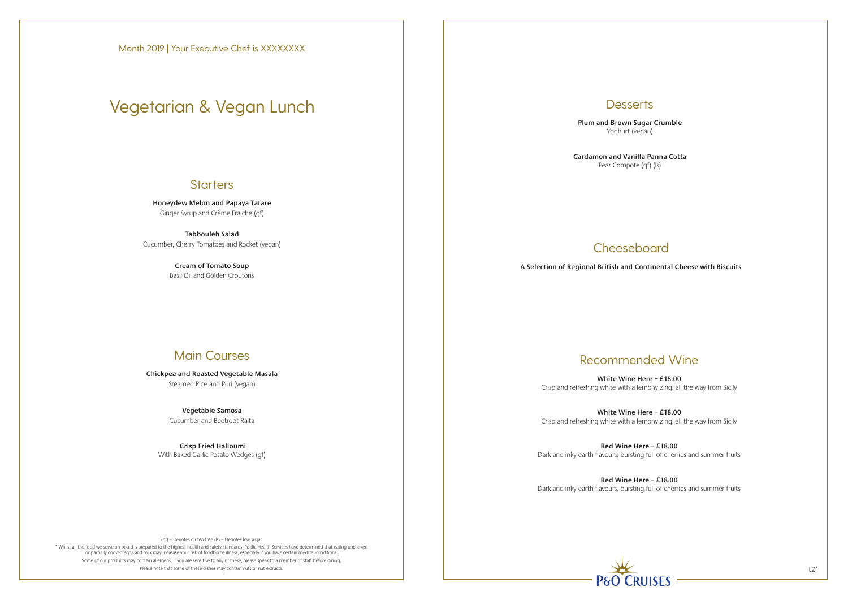\* Whilst all the food we serve on board is prepared to the highest health and safety standards, Public Health Services have determined that eating uncooked or partially cooked eggs and milk may increase your risk of foodborne illness, especially if you have certain medical conditions. Some of our products may contain allergens. If you are sensitive to any of these, please speak to a member of staff before dining. Please note that some of these dishes may contain nuts or nut extracts. L21

## **Desserts**

**Honeydew Melon and Papaya Tatare** Ginger Syrup and Crème Fraiche (gf)

**Tabbouleh Salad** Cucumber, Cherry Tomatoes and Rocket (vegan)

> **Cream of Tomato Soup** Basil Oil and Golden Croutons

## Main Courses

**Chickpea and Roasted Vegetable Masala** Steamed Rice and Puri (vegan)

> **Vegetable Samosa** Cucumber and Beetroot Raita

 **Crisp Fried Halloumi** With Baked Garlic Potato Wedges (gf) **Plum and Brown Sugar Crumble** Yoghurt (vegan)

**Cardamon and Vanilla Panna Cotta** Pear Compote (gf) (ls)

## **Cheeseboard**

**A Selection of Regional British and Continental Cheese with Biscuits**

# Vegetarian & Vegan Lunch

### **Starters**

## Recommended Wine

**White Wine Here – £18.00** Crisp and refreshing white with a lemony zing, all the way from Sicily

**White Wine Here – £18.00** Crisp and refreshing white with a lemony zing, all the way from Sicily

**Red Wine Here – £18.00** Dark and inky earth flavours, bursting full of cherries and summer fruits

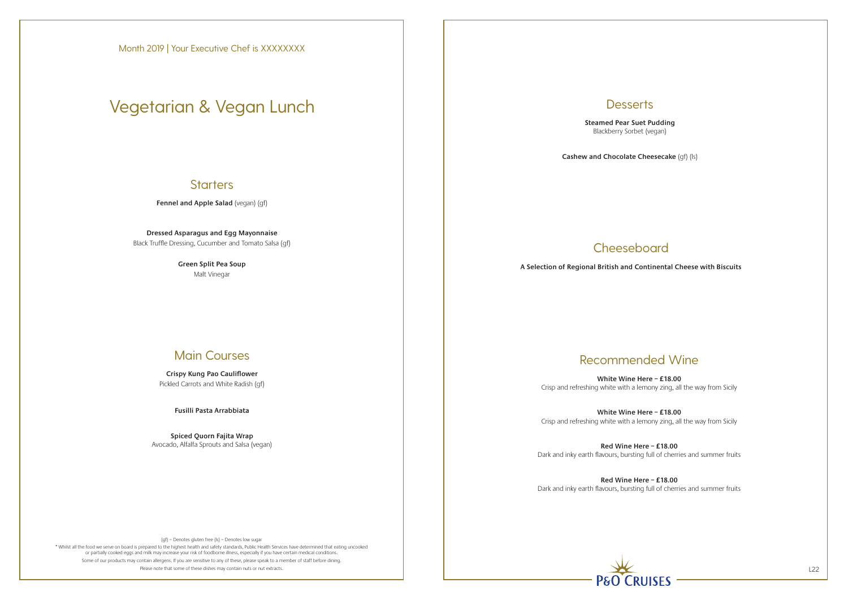\* Whilst all the food we serve on board is prepared to the highest health and safety standards, Public Health Services have determined that eating uncooked or partially cooked eggs and milk may increase your risk of foodborne illness, especially if you have certain medical conditions. Some of our products may contain allergens. If you are sensitive to any of these, please speak to a member of staff before dining. Please note that some of these dishes may contain nuts or nut extracts. L22

## **Desserts**

**Fennel and Apple Salad** (vegan) (gf)

**Dressed Asparagus and Egg Mayonnaise** Black Truffle Dressing, Cucumber and Tomato Salsa (gf)

> **Green Split Pea Soup** Malt Vinegar

## Main Courses

**Crispy Kung Pao Cauliflower** Pickled Carrots and White Radish (gf)

**Fusilli Pasta Arrabbiata**

**Spiced Quorn Fajita Wrap** Avocado, Alfalfa Sprouts and Salsa (vegan) **Steamed Pear Suet Pudding** Blackberry Sorbet (vegan)

**Cashew and Chocolate Cheesecake** (gf) (ls)

## **Cheeseboard**

**A Selection of Regional British and Continental Cheese with Biscuits**

# Vegetarian & Vegan Lunch

### **Starters**

## Recommended Wine

**White Wine Here – £18.00** Crisp and refreshing white with a lemony zing, all the way from Sicily

**White Wine Here – £18.00** Crisp and refreshing white with a lemony zing, all the way from Sicily

**Red Wine Here – £18.00** Dark and inky earth flavours, bursting full of cherries and summer fruits

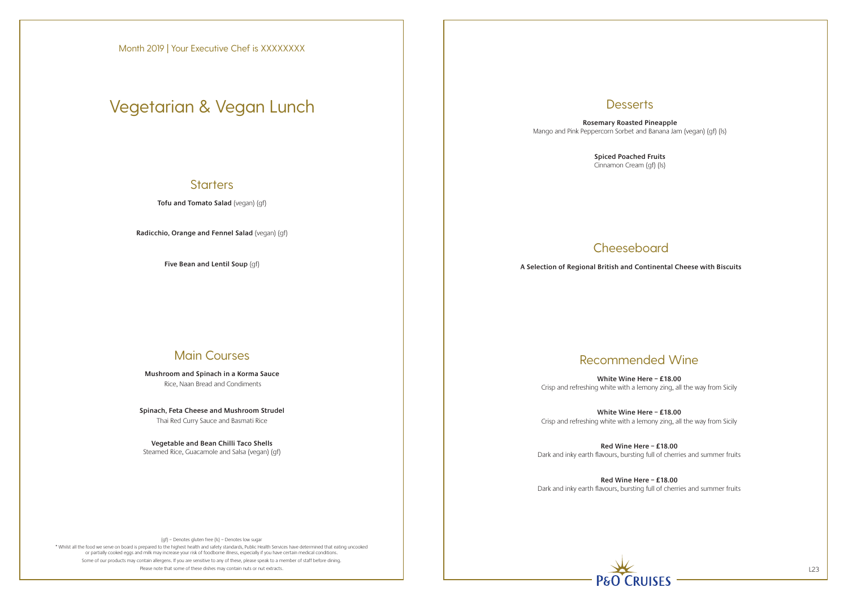\* Whilst all the food we serve on board is prepared to the highest health and safety standards, Public Health Services have determined that eating uncooked or partially cooked eggs and milk may increase your risk of foodborne illness, especially if you have certain medical conditions. Some of our products may contain allergens. If you are sensitive to any of these, please speak to a member of staff before dining. Please note that some of these dishes may contain nuts or nut extracts. L23

### **Desserts**

**Tofu and Tomato Salad** (vegan) (gf)

**Radicchio, Orange and Fennel Salad** (vegan) (gf)

**Five Bean and Lentil Soup** (gf)

## Main Courses

**Mushroom and Spinach in a Korma Sauce** Rice, Naan Bread and Condiments

**Spinach, Feta Cheese and Mushroom Strudel** Thai Red Curry Sauce and Basmati Rice

**Vegetable and Bean Chilli Taco Shells** Steamed Rice, Guacamole and Salsa (vegan) (gf)

**Rosemary Roasted Pineapple** Mango and Pink Peppercorn Sorbet and Banana Jam (vegan) (gf) (ls)

> **Spiced Poached Fruits** Cinnamon Cream (gf) (ls)

## **Cheeseboard**

**A Selection of Regional British and Continental Cheese with Biscuits**

# Vegetarian & Vegan Lunch

### **Starters**

## Recommended Wine

**White Wine Here – £18.00** Crisp and refreshing white with a lemony zing, all the way from Sicily

**White Wine Here – £18.00** Crisp and refreshing white with a lemony zing, all the way from Sicily

**Red Wine Here – £18.00** Dark and inky earth flavours, bursting full of cherries and summer fruits

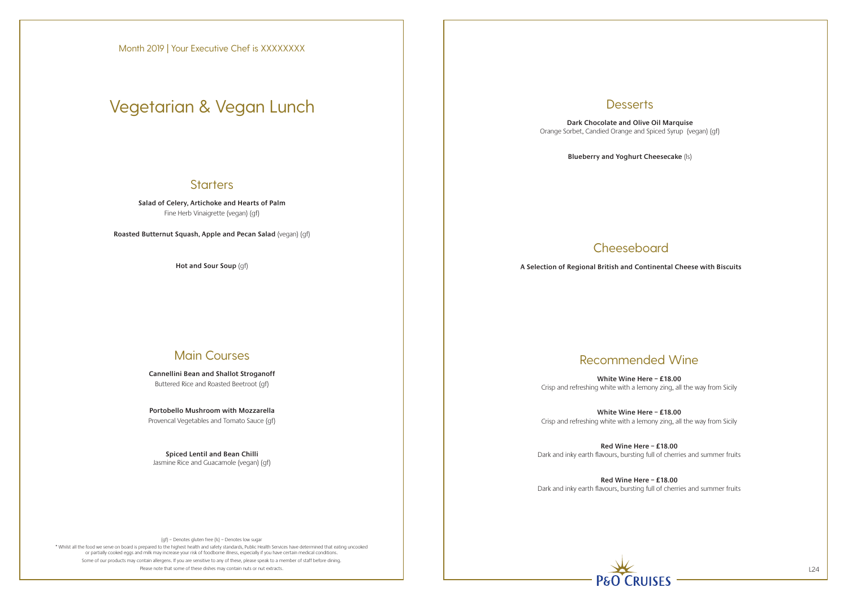\* Whilst all the food we serve on board is prepared to the highest health and safety standards, Public Health Services have determined that eating uncooked or partially cooked eggs and milk may increase your risk of foodborne illness, especially if you have certain medical conditions. Some of our products may contain allergens. If you are sensitive to any of these, please speak to a member of staff before dining. Please note that some of these dishes may contain nuts or nut extracts. L24

### **Desserts**

**Salad of Celery, Artichoke and Hearts of Palm** Fine Herb Vinaigrette (vegan) (gf)

**Roasted Butternut Squash, Apple and Pecan Salad** (vegan) (gf)

**Hot and Sour Soup** (gf)

## Main Courses

**Cannellini Bean and Shallot Stroganoff** Buttered Rice and Roasted Beetroot (gf)

**Portobello Mushroom with Mozzarella** Provencal Vegetables and Tomato Sauce (gf)

**Spiced Lentil and Bean Chilli** Jasmine Rice and Guacamole (vegan) (gf)

**Dark Chocolate and Olive Oil Marquise** Orange Sorbet, Candied Orange and Spiced Syrup (vegan) (gf)

**Blueberry and Yoghurt Cheesecake** (ls)

## **Cheeseboard**

**A Selection of Regional British and Continental Cheese with Biscuits**

Month 2019 | Your Executive Chef is XXXXXXXX

# Vegetarian & Vegan Lunch

### **Starters**

## Recommended Wine

**White Wine Here – £18.00** Crisp and refreshing white with a lemony zing, all the way from Sicily

**White Wine Here – £18.00** Crisp and refreshing white with a lemony zing, all the way from Sicily

**Red Wine Here – £18.00** Dark and inky earth flavours, bursting full of cherries and summer fruits

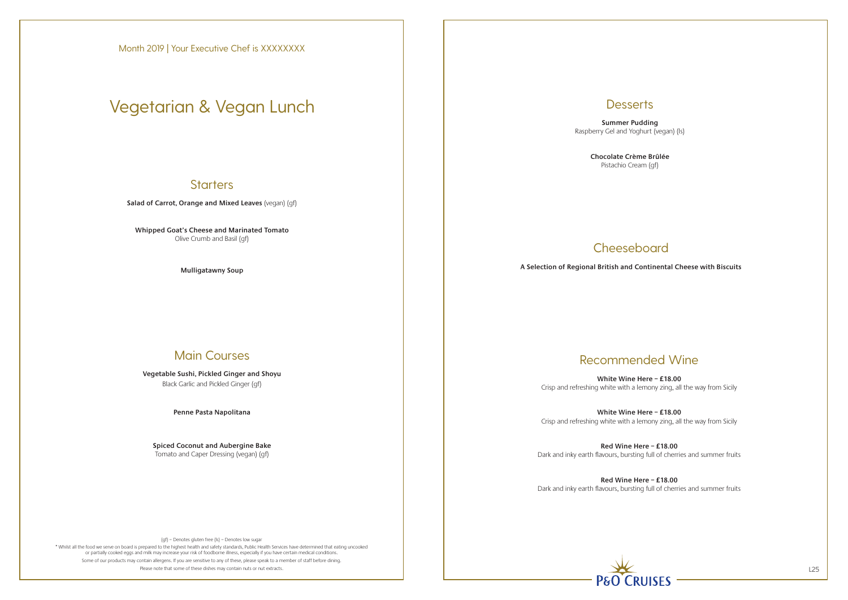\* Whilst all the food we serve on board is prepared to the highest health and safety standards, Public Health Services have determined that eating uncooked or partially cooked eggs and milk may increase your risk of foodborne illness, especially if you have certain medical conditions. Some of our products may contain allergens. If you are sensitive to any of these, please speak to a member of staff before dining. Please note that some of these dishes may contain nuts or nut extracts. L25

### **Desserts**

**Salad of Carrot, Orange and Mixed Leaves** (vegan) (gf)

**Whipped Goat's Cheese and Marinated Tomato** Olive Crumb and Basil (gf)

**Mulligatawny Soup**

## Main Courses

**Vegetable Sushi, Pickled Ginger and Shoyu** Black Garlic and Pickled Ginger (gf)

**Penne Pasta Napolitana**

**Spiced Coconut and Aubergine Bake** Tomato and Caper Dressing (vegan) (gf)

**Summer Pudding** Raspberry Gel and Yoghurt (vegan) (ls)

> **Chocolate Crème Brûlée** Pistachio Cream (gf)

## **Cheeseboard**

**A Selection of Regional British and Continental Cheese with Biscuits**

Month 2019 | Your Executive Chef is XXXXXXXX

# Vegetarian & Vegan Lunch

## **Starters**

## Recommended Wine

**White Wine Here – £18.00** Crisp and refreshing white with a lemony zing, all the way from Sicily

**White Wine Here – £18.00** Crisp and refreshing white with a lemony zing, all the way from Sicily

**Red Wine Here – £18.00** Dark and inky earth flavours, bursting full of cherries and summer fruits

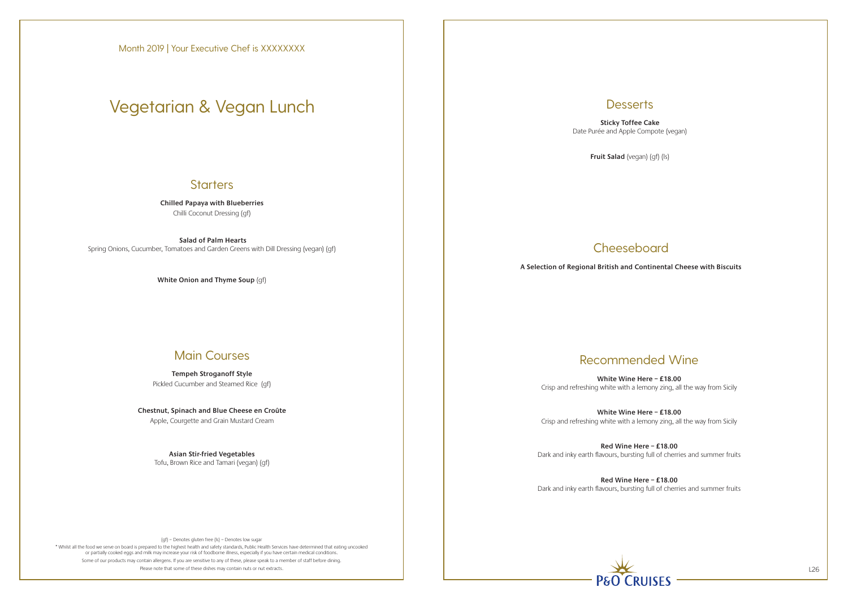\* Whilst all the food we serve on board is prepared to the highest health and safety standards, Public Health Services have determined that eating uncooked or partially cooked eggs and milk may increase your risk of foodborne illness, especially if you have certain medical conditions. Some of our products may contain allergens. If you are sensitive to any of these, please speak to a member of staff before dining. Please note that some of these dishes may contain nuts or nut extracts. L26

### **Desserts**

**Chilled Papaya with Blueberries**  Chilli Coconut Dressing (gf)

 **Salad of Palm Hearts** Spring Onions, Cucumber, Tomatoes and Garden Greens with Dill Dressing (vegan) (gf)

**White Onion and Thyme Soup** (gf)

## Main Courses

**Tempeh Stroganoff Style** Pickled Cucumber and Steamed Rice (gf)

**Chestnut, Spinach and Blue Cheese en Croûte** Apple, Courgette and Grain Mustard Cream

> **Asian Stir-fried Vegetables** Tofu, Brown Rice and Tamari (vegan) (gf)

**Sticky Toffee Cake** Date Purée and Apple Compote (vegan)

**Fruit Salad** (vegan) (gf) (ls)

## **Cheeseboard**

**A Selection of Regional British and Continental Cheese with Biscuits**

Month 2019 | Your Executive Chef is XXXXXXXX

# Vegetarian & Vegan Lunch

### **Starters**

## Recommended Wine

**White Wine Here – £18.00** Crisp and refreshing white with a lemony zing, all the way from Sicily

**White Wine Here – £18.00** Crisp and refreshing white with a lemony zing, all the way from Sicily

**Red Wine Here – £18.00** Dark and inky earth flavours, bursting full of cherries and summer fruits

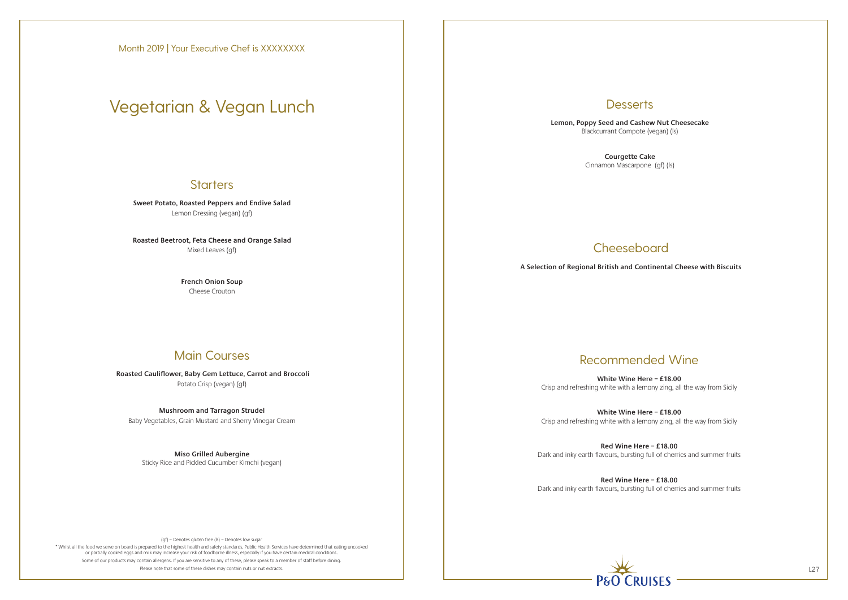\* Whilst all the food we serve on board is prepared to the highest health and safety standards, Public Health Services have determined that eating uncooked or partially cooked eggs and milk may increase your risk of foodborne illness, especially if you have certain medical conditions. Some of our products may contain allergens. If you are sensitive to any of these, please speak to a member of staff before dining. Please note that some of these dishes may contain nuts or nut extracts. L27

## **Desserts**

**Sweet Potato, Roasted Peppers and Endive Salad** Lemon Dressing (vegan) (gf)

**Roasted Beetroot, Feta Cheese and Orange Salad** Mixed Leaves (gf)

> **French Onion Soup** Cheese Crouton

## Main Courses

 **Roasted Cauliflower, Baby Gem Lettuce, Carrot and Broccoli** Potato Crisp (vegan) (gf)

### **Mushroom and Tarragon Strudel**

Baby Vegetables, Grain Mustard and Sherry Vinegar Cream

**Miso Grilled Aubergine** Sticky Rice and Pickled Cucumber Kimchi (vegan) **Lemon, Poppy Seed and Cashew Nut Cheesecake** Blackcurrant Compote (vegan) (ls)

> **Courgette Cake** Cinnamon Mascarpone (gf) (ls)

## **Cheeseboard**

## Recommended Wine

**White Wine Here – £18.00** Crisp and refreshing white with a lemony zing, all the way from Sicily

**White Wine Here – £18.00** Crisp and refreshing white with a lemony zing, all the way from Sicily

**Red Wine Here – £18.00** Dark and inky earth flavours, bursting full of cherries and summer fruits

**Red Wine Here – £18.00** Dark and inky earth flavours, bursting full of cherries and summer fruits



**A Selection of Regional British and Continental Cheese with Biscuits**

# Vegetarian & Vegan Lunch

## **Starters**